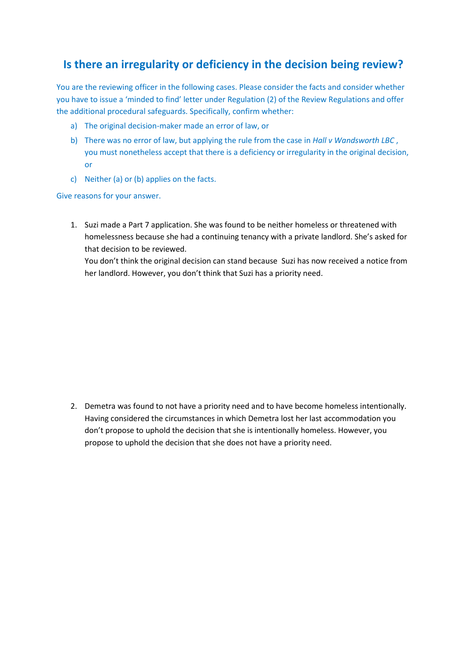## **Is there an irregularity or deficiency in the decision being review?**

You are the reviewing officer in the following cases. Please consider the facts and consider whether you have to issue a 'minded to find' letter under Regulation (2) of the Review Regulations and offer the additional procedural safeguards. Specifically, confirm whether:

- a) The original decision-maker made an error of law, or
- b) There was no error of law, but applying the rule from the case in *Hall v Wandsworth LBC* , you must nonetheless accept that there is a deficiency or irregularity in the original decision, or
- c) Neither (a) or (b) applies on the facts.

Give reasons for your answer.

1. Suzi made a Part 7 application. She was found to be neither homeless or threatened with homelessness because she had a continuing tenancy with a private landlord. She's asked for that decision to be reviewed.

You don't think the original decision can stand because Suzi has now received a notice from her landlord. However, you don't think that Suzi has a priority need.

2. Demetra was found to not have a priority need and to have become homeless intentionally. Having considered the circumstances in which Demetra lost her last accommodation you don't propose to uphold the decision that she is intentionally homeless. However, you propose to uphold the decision that she does not have a priority need.